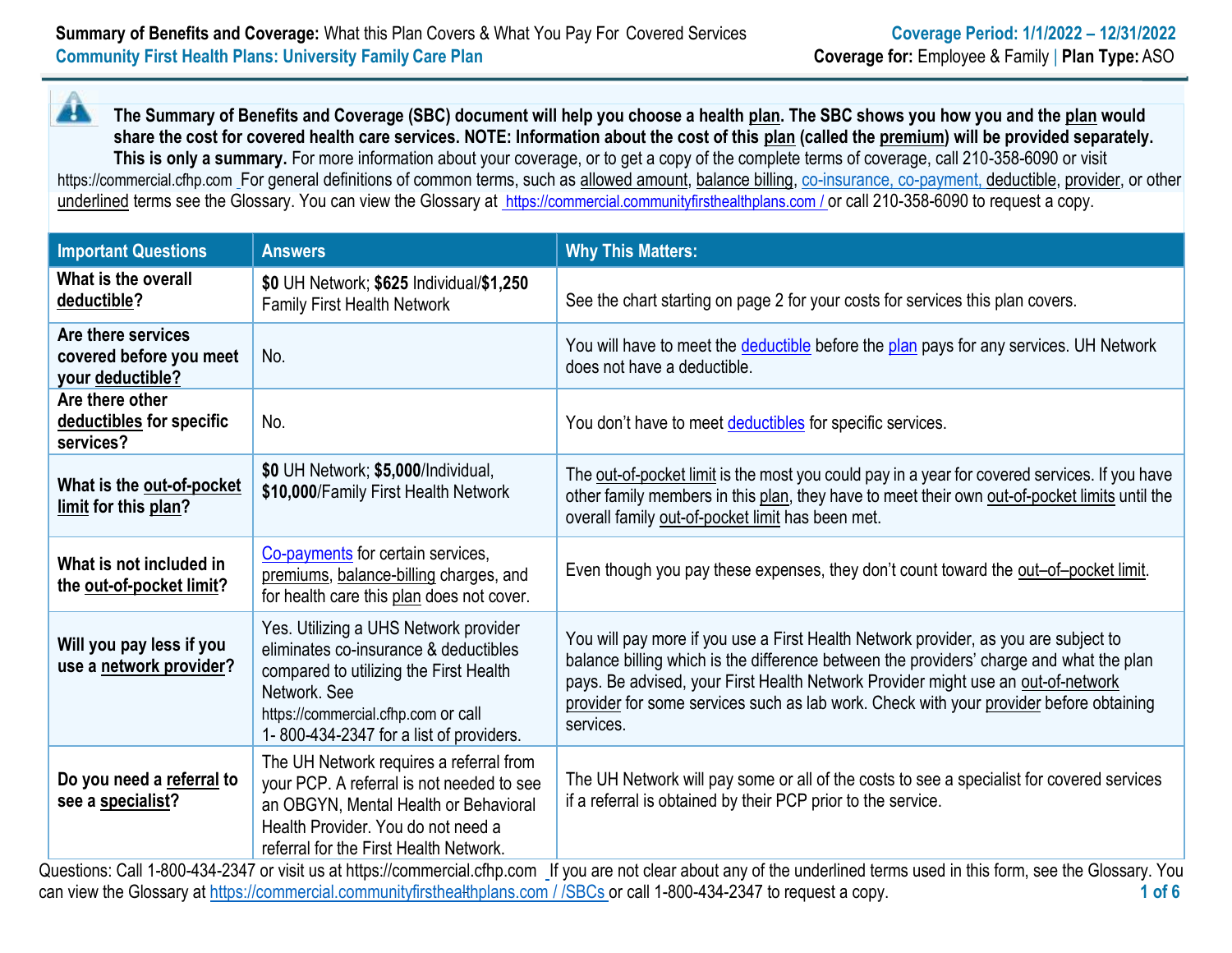44 **The Summary of Benefits and Coverage (SBC) document will help you choose a health [plan.](https://www.healthcare.gov/sbc-glossary/#plan) The SBC shows you how you and th[e plan](https://www.healthcare.gov/sbc-glossary/#plan) would share the cost for covered health care services. NOTE: Information about the cost of this [plan](https://www.healthcare.gov/sbc-glossary/#plan) (called the [premium\)](https://www.healthcare.gov/sbc-glossary/#premium) will be provided separately. This is only a summary.** For more information about your coverage, or to get a copy of the complete terms of coverage, call 210-358-6090 or visit https://commercial.cfhp.com [F](http://www.cfhp.com/)or general definitions of common terms, such as [allowed amount,](https://www.healthcare.gov/sbc-glossary/#allowed-amount) [balance billing, c](https://www.healthcare.gov/sbc-glossary/#balance-billing)o-insurance, co-payment, [deductible,](https://www.healthcare.gov/sbc-glossary/#deductible) [provider, o](https://www.healthcare.gov/sbc-glossary/#provider)r other underlined terms see the Glossary. You can view the Glossary at https://commercial.communityfirsthealthplans.com / or call 210-358-6090 to request a copy.

| <b>Important Questions</b>                                        | <b>Answers</b>                                                                                                                                                                                                                                                                                      | <b>Why This Matters:</b>                                                                                                                                                                                                                                                                                                                                                  |
|-------------------------------------------------------------------|-----------------------------------------------------------------------------------------------------------------------------------------------------------------------------------------------------------------------------------------------------------------------------------------------------|---------------------------------------------------------------------------------------------------------------------------------------------------------------------------------------------------------------------------------------------------------------------------------------------------------------------------------------------------------------------------|
| What is the overall<br>deductible?                                | \$0 UH Network; \$625 Individual/\$1,250<br><b>Family First Health Network</b>                                                                                                                                                                                                                      | See the chart starting on page 2 for your costs for services this plan covers.                                                                                                                                                                                                                                                                                            |
| Are there services<br>covered before you meet<br>your deductible? | No.                                                                                                                                                                                                                                                                                                 | You will have to meet the deductible before the plan pays for any services. UH Network<br>does not have a deductible.                                                                                                                                                                                                                                                     |
| Are there other<br>deductibles for specific<br>services?          | No.                                                                                                                                                                                                                                                                                                 | You don't have to meet deductibles for specific services.                                                                                                                                                                                                                                                                                                                 |
| What is the out-of-pocket<br>limit for this plan?                 | \$0 UH Network; \$5,000/Individual,<br>\$10,000/Family First Health Network                                                                                                                                                                                                                         | The out-of-pocket limit is the most you could pay in a year for covered services. If you have<br>other family members in this plan, they have to meet their own out-of-pocket limits until the<br>overall family out-of-pocket limit has been met.                                                                                                                        |
| What is not included in<br>the out-of-pocket limit?               | Co-payments for certain services,<br>premiums, balance-billing charges, and<br>for health care this plan does not cover.                                                                                                                                                                            | Even though you pay these expenses, they don't count toward the out-of-pocket limit.                                                                                                                                                                                                                                                                                      |
| Will you pay less if you<br>use a network provider?               | Yes. Utilizing a UHS Network provider<br>eliminates co-insurance & deductibles<br>compared to utilizing the First Health<br>Network, See<br>https://commercial.cfhp.com or call<br>1-800-434-2347 for a list of providers.                                                                          | You will pay more if you use a First Health Network provider, as you are subject to<br>balance billing which is the difference between the providers' charge and what the plan<br>pays. Be advised, your First Health Network Provider might use an out-of-network<br>provider for some services such as lab work. Check with your provider before obtaining<br>services. |
| Do you need a referral to<br>see a specialist?                    | The UH Network requires a referral from<br>your PCP. A referral is not needed to see<br>an OBGYN, Mental Health or Behavioral<br>Health Provider. You do not need a<br>referral for the First Health Network.<br>$\lambda$ uestions: Call 1-800-434-2347 or visit us at https://commercial.cfbp.com | The UH Network will pay some or all of the costs to see a specialist for covered services<br>if a referral is obtained by their PCP prior to the service.<br>If you are not clear about any of the underlined terms used in this form see the Glossary You                                                                                                                |

Questions: Call 1-800-434-2347 or visit us at https://commercial.cfhp.com \_if you are not clear about any of the underlined terms used in this form, see the Glossary. You can view the Glossary at https://commercial.communityfirsthealthplans.com / /SBCs or call 1-800-434-2347 to request a copy. **1 of 6**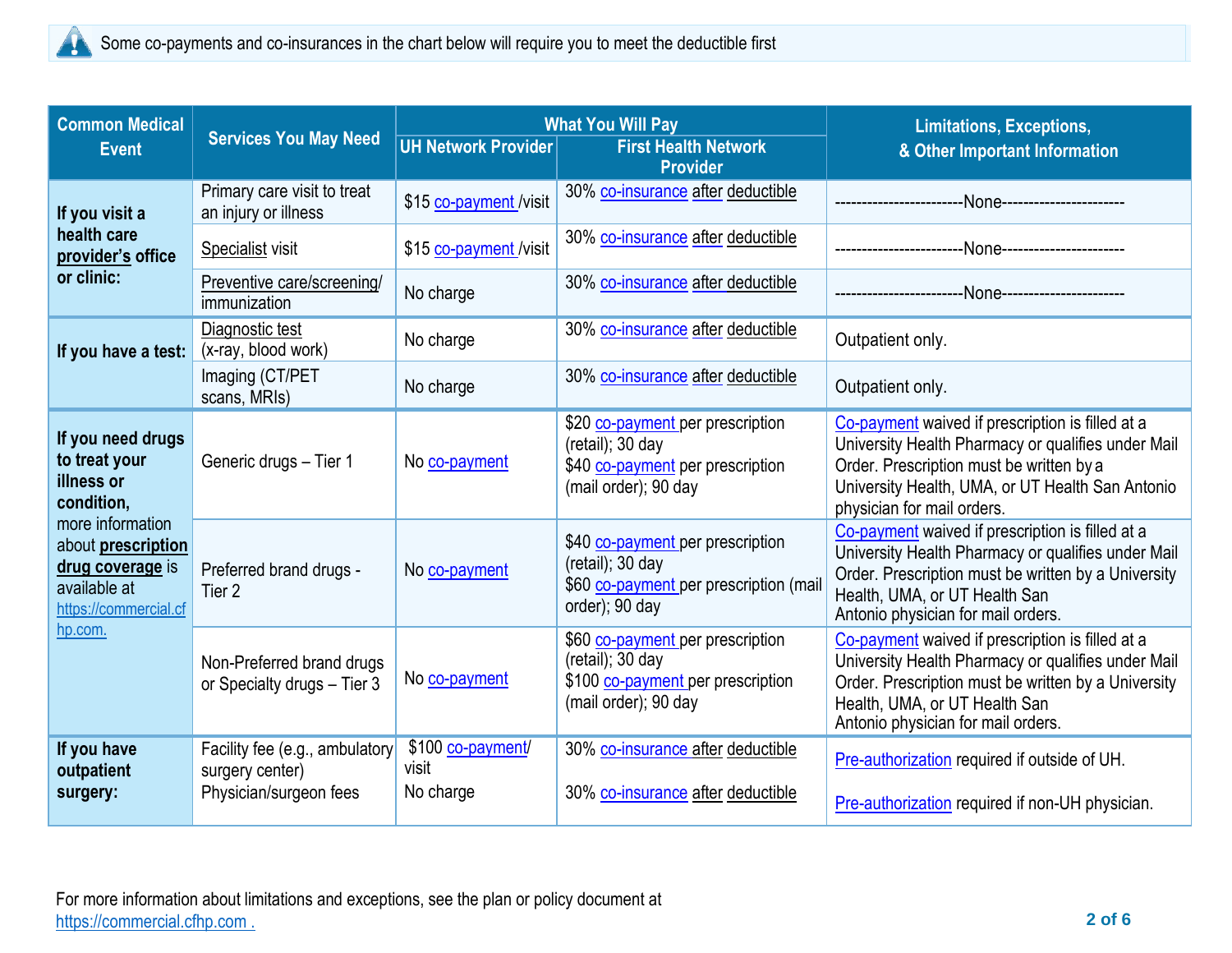

| <b>Common Medical</b><br><b>Event</b>                                                                      | <b>Services You May Need</b>                                                | <b>UH Network Provider</b>              | <b>What You Will Pay</b><br><b>First Health Network</b><br><b>Provider</b>                                          | <b>Limitations, Exceptions,</b><br>& Other Important Information                                                                                                                                                                     |
|------------------------------------------------------------------------------------------------------------|-----------------------------------------------------------------------------|-----------------------------------------|---------------------------------------------------------------------------------------------------------------------|--------------------------------------------------------------------------------------------------------------------------------------------------------------------------------------------------------------------------------------|
| If you visit a                                                                                             | Primary care visit to treat<br>an injury or illness                         | \$15 co-payment /visit                  | 30% co-insurance after deductible                                                                                   |                                                                                                                                                                                                                                      |
| health care<br>provider's office                                                                           | Specialist visit                                                            | \$15 co-payment /visit                  | 30% co-insurance after deductible                                                                                   |                                                                                                                                                                                                                                      |
| or clinic:                                                                                                 | Preventive care/screening/<br>immunization                                  | No charge                               | 30% co-insurance after deductible                                                                                   |                                                                                                                                                                                                                                      |
| If you have a test:                                                                                        | Diagnostic test<br>(x-ray, blood work)                                      | No charge                               | 30% co-insurance after deductible                                                                                   | Outpatient only.                                                                                                                                                                                                                     |
|                                                                                                            | Imaging (CT/PET<br>scans, MRIs)                                             | No charge                               | 30% co-insurance after deductible                                                                                   | Outpatient only.                                                                                                                                                                                                                     |
| If you need drugs<br>to treat your<br>illness or<br>condition,                                             | Generic drugs - Tier 1                                                      | No co-payment                           | \$20 co-payment per prescription<br>$(retail);$ 30 day<br>\$40 co-payment per prescription<br>(mail order); 90 day  | Co-payment waived if prescription is filled at a<br>University Health Pharmacy or qualifies under Mail<br>Order. Prescription must be written by a<br>University Health, UMA, or UT Health San Antonio<br>physician for mail orders. |
| more information<br>about <b>prescription</b><br>drug coverage is<br>available at<br>https://commercial.cf | Preferred brand drugs -<br>Tier <sub>2</sub>                                | No co-payment                           | \$40 co-payment per prescription<br>$(retail);$ 30 day<br>\$60 co-payment per prescription (mail<br>order); 90 day  | Co-payment waived if prescription is filled at a<br>University Health Pharmacy or qualifies under Mail<br>Order. Prescription must be written by a University<br>Health, UMA, or UT Health San<br>Antonio physician for mail orders. |
| hp.com.                                                                                                    | Non-Preferred brand drugs<br>or Specialty drugs - Tier 3                    | No co-payment                           | \$60 co-payment per prescription<br>$(retail);$ 30 day<br>\$100 co-payment per prescription<br>(mail order); 90 day | Co-payment waived if prescription is filled at a<br>University Health Pharmacy or qualifies under Mail<br>Order. Prescription must be written by a University<br>Health, UMA, or UT Health San<br>Antonio physician for mail orders. |
| If you have<br>outpatient<br>surgery:                                                                      | Facility fee (e.g., ambulatory<br>surgery center)<br>Physician/surgeon fees | \$100 co-payment/<br>visit<br>No charge | 30% co-insurance after deductible<br>30% co-insurance after deductible                                              | Pre-authorization required if outside of UH.<br>Pre-authorization required if non-UH physician.                                                                                                                                      |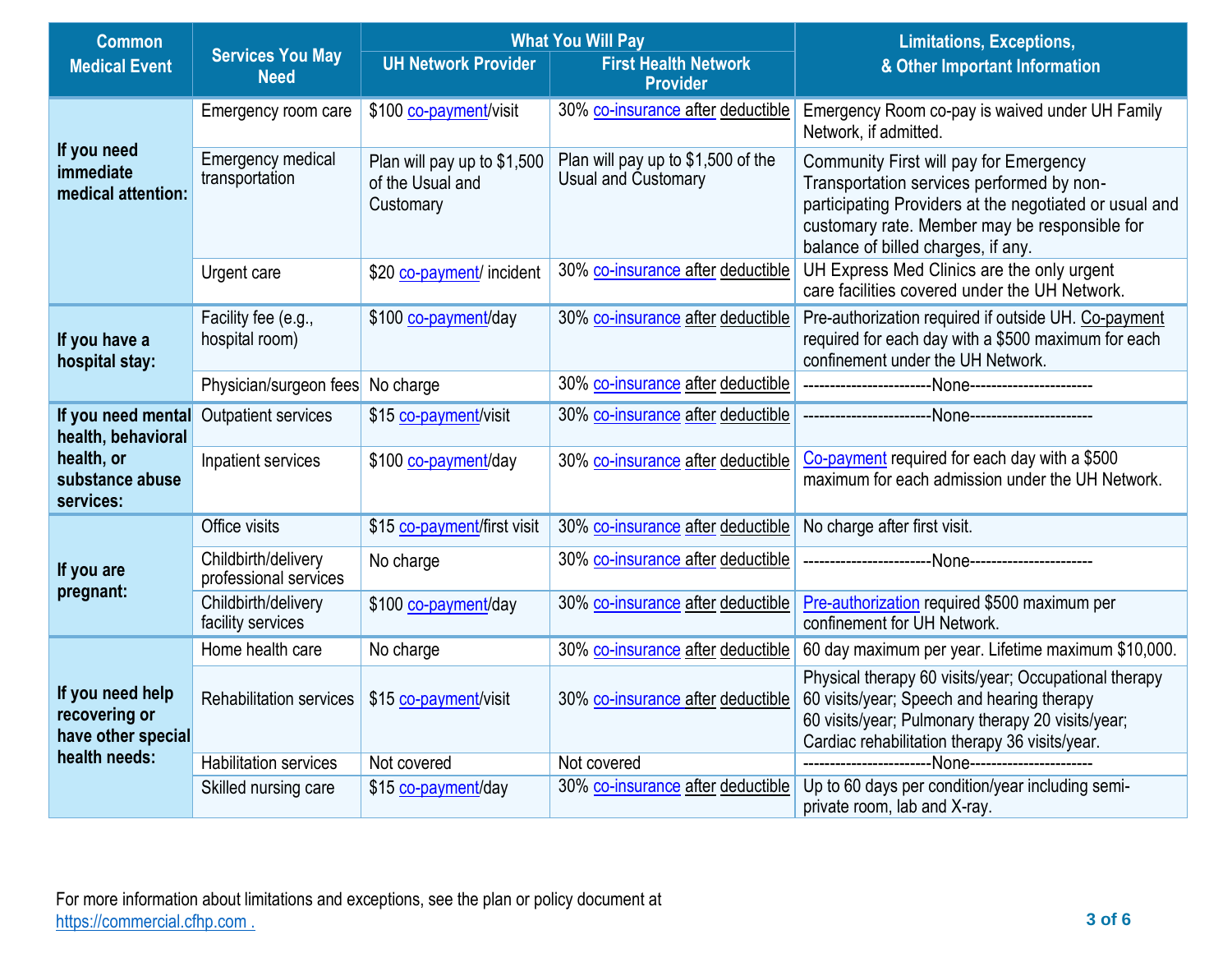| <b>Common</b>                                           |                                              |                                                              | <b>What You Will Pay</b>                                         | <b>Limitations, Exceptions,</b>                                                                                                                                                                                                      |  |
|---------------------------------------------------------|----------------------------------------------|--------------------------------------------------------------|------------------------------------------------------------------|--------------------------------------------------------------------------------------------------------------------------------------------------------------------------------------------------------------------------------------|--|
| <b>Medical Event</b>                                    | <b>Services You May</b><br><b>Need</b>       | <b>UH Network Provider</b>                                   | <b>First Health Network</b><br><b>Provider</b>                   | & Other Important Information                                                                                                                                                                                                        |  |
|                                                         | Emergency room care                          | \$100 co-payment/visit                                       | 30% co-insurance after deductible                                | Emergency Room co-pay is waived under UH Family<br>Network, if admitted.                                                                                                                                                             |  |
| If you need<br>immediate<br>medical attention:          | <b>Emergency medical</b><br>transportation   | Plan will pay up to \$1,500<br>of the Usual and<br>Customary | Plan will pay up to \$1,500 of the<br><b>Usual and Customary</b> | Community First will pay for Emergency<br>Transportation services performed by non-<br>participating Providers at the negotiated or usual and<br>customary rate. Member may be responsible for<br>balance of billed charges, if any. |  |
|                                                         | Urgent care                                  | \$20 co-payment/ incident                                    | 30% co-insurance after deductible                                | UH Express Med Clinics are the only urgent<br>care facilities covered under the UH Network.                                                                                                                                          |  |
| If you have a<br>hospital stay:                         | Facility fee (e.g.,<br>hospital room)        | \$100 co-payment/day                                         | 30% co-insurance after deductible                                | Pre-authorization required if outside UH. Co-payment<br>required for each day with a \$500 maximum for each<br>confinement under the UH Network.                                                                                     |  |
|                                                         | Physician/surgeon fees                       | No charge                                                    | 30% co-insurance after deductible                                |                                                                                                                                                                                                                                      |  |
| If you need mental<br>health, behavioral                | <b>Outpatient services</b>                   | \$15 co-payment/visit                                        | 30% co-insurance after deductible                                |                                                                                                                                                                                                                                      |  |
| health, or<br>substance abuse<br>services:              | Inpatient services                           | \$100 co-payment/day                                         | 30% co-insurance after deductible                                | Co-payment required for each day with a \$500<br>maximum for each admission under the UH Network.                                                                                                                                    |  |
|                                                         | Office visits                                | \$15 co-payment/first visit                                  | 30% co-insurance after deductible                                | No charge after first visit.                                                                                                                                                                                                         |  |
| If you are                                              | Childbirth/delivery<br>professional services | No charge                                                    | 30% co-insurance after deductible                                |                                                                                                                                                                                                                                      |  |
| pregnant:                                               | Childbirth/delivery<br>facility services     | \$100 co-payment/day                                         | 30% co-insurance after deductible                                | Pre-authorization required \$500 maximum per<br>confinement for UH Network.                                                                                                                                                          |  |
|                                                         | Home health care                             | No charge                                                    | 30% co-insurance after deductible                                | 60 day maximum per year. Lifetime maximum \$10,000.                                                                                                                                                                                  |  |
| If you need help<br>recovering or<br>have other special | <b>Rehabilitation services</b>               | \$15 co-payment/visit                                        | 30% co-insurance after deductible                                | Physical therapy 60 visits/year; Occupational therapy<br>60 visits/year; Speech and hearing therapy<br>60 visits/year; Pulmonary therapy 20 visits/year;<br>Cardiac rehabilitation therapy 36 visits/year.                           |  |
| health needs:                                           | <b>Habilitation services</b>                 | Not covered                                                  | Not covered                                                      |                                                                                                                                                                                                                                      |  |
|                                                         | Skilled nursing care                         | \$15 co-payment/day                                          | 30% co-insurance after deductible                                | Up to 60 days per condition/year including semi-<br>private room, lab and X-ray                                                                                                                                                      |  |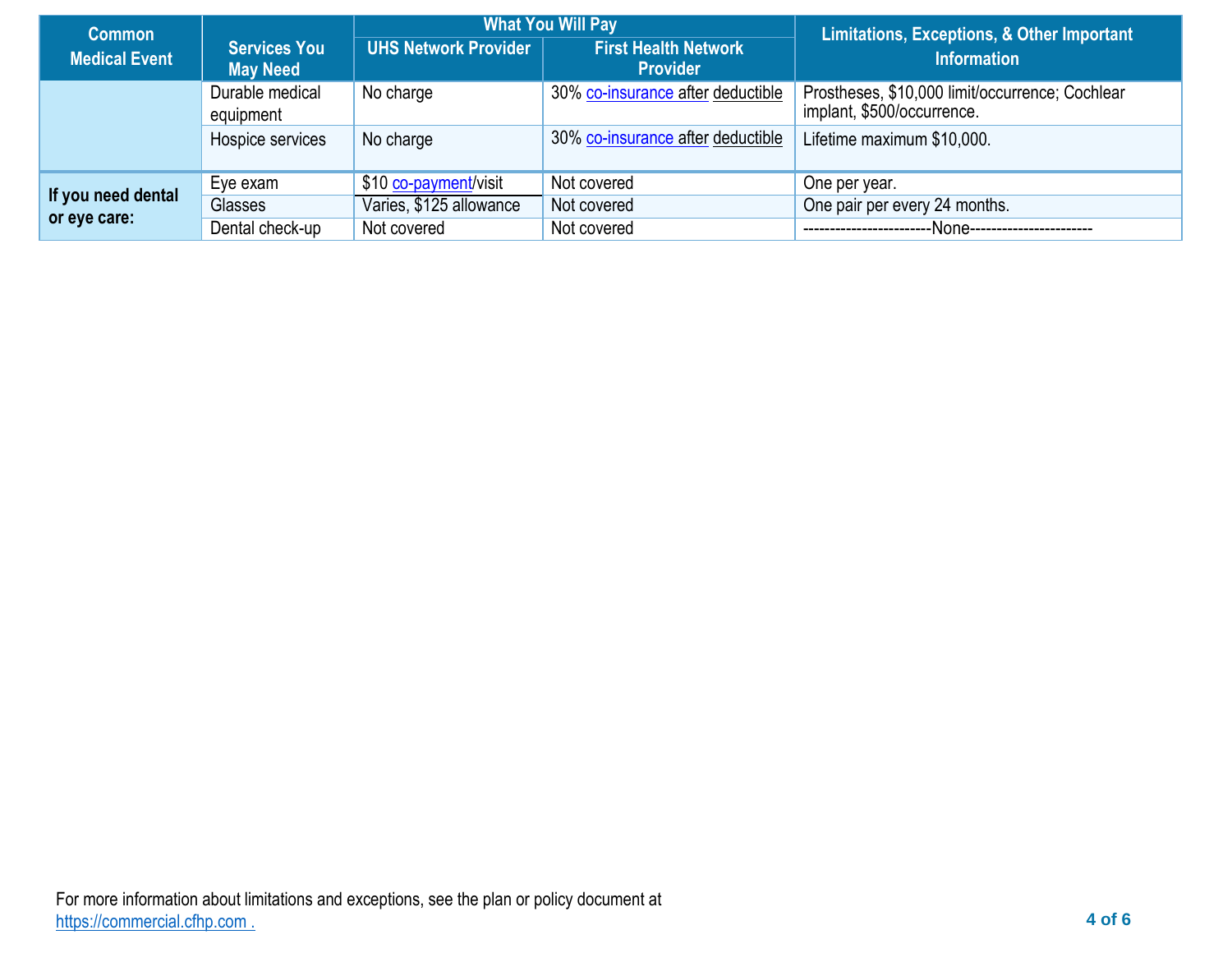| <b>Common</b>        | <b>What You Will Pay</b>               |                             |                                                | <b>Limitations, Exceptions, &amp; Other Important</b>                         |  |
|----------------------|----------------------------------------|-----------------------------|------------------------------------------------|-------------------------------------------------------------------------------|--|
| <b>Medical Event</b> | <b>Services You</b><br><b>May Need</b> | <b>UHS Network Provider</b> | <b>First Health Network</b><br><b>Provider</b> | <b>Information</b>                                                            |  |
|                      | Durable medical<br>equipment           | No charge                   | 30% co-insurance after deductible              | Prostheses, \$10,000 limit/occurrence; Cochlear<br>implant, \$500/occurrence. |  |
|                      | Hospice services                       | No charge                   | 30% co-insurance after deductible              | Lifetime maximum \$10,000.                                                    |  |
|                      | Eye exam                               | \$10 co-payment/visit       | Not covered                                    | One per year.                                                                 |  |
| If you need dental   | Glasses                                | Varies, \$125 allowance     | Not covered                                    | One pair per every 24 months.                                                 |  |
| or eye care:         | Dental check-up                        | Not covered                 | Not covered                                    | ---None-----------------------<br>---------------------                       |  |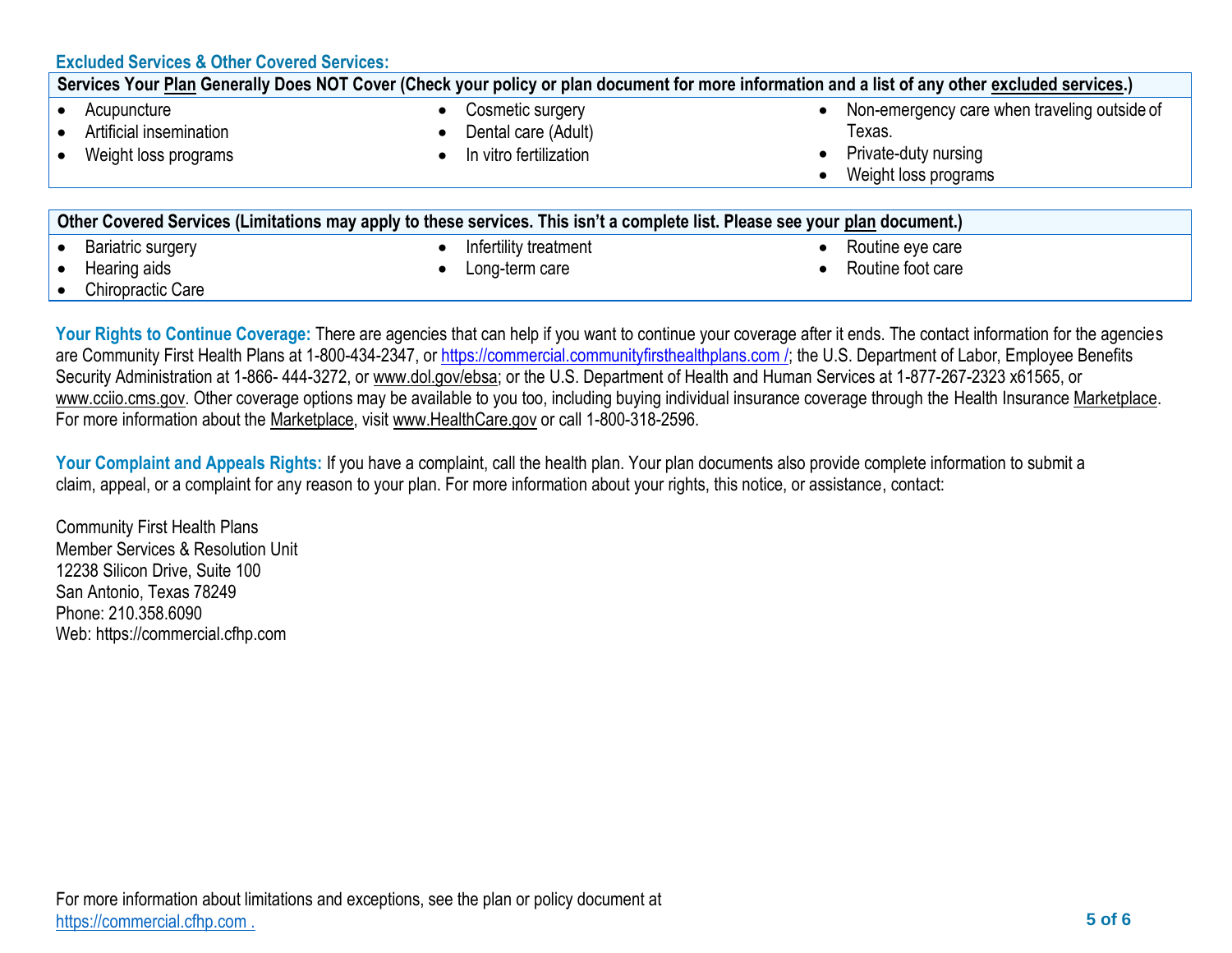| <b>Excluded Services &amp; Other Covered Services:</b>                                                                                           |                                                                                                                                                       |                                                                                                        |  |  |  |  |
|--------------------------------------------------------------------------------------------------------------------------------------------------|-------------------------------------------------------------------------------------------------------------------------------------------------------|--------------------------------------------------------------------------------------------------------|--|--|--|--|
| Services Your Plan Generally Does NOT Cover (Check your policy or plan document for more information and a list of any other excluded services.) |                                                                                                                                                       |                                                                                                        |  |  |  |  |
| Acupuncture<br>Artificial insemination<br>Weight loss programs                                                                                   | Cosmetic surgery<br>Dental care (Adult)<br>In vitro fertilization                                                                                     | Non-emergency care when traveling outside of<br>Texas.<br>Private-duty nursing<br>Weight loss programs |  |  |  |  |
| <b>Bariatric surgery</b>                                                                                                                         | Other Covered Services (Limitations may apply to these services. This isn't a complete list. Please see your plan document.)<br>Infertility treatment | Routine eye care                                                                                       |  |  |  |  |
|                                                                                                                                                  |                                                                                                                                                       |                                                                                                        |  |  |  |  |

- Hearing aids
- Chiropractic Care

• Long-term care

- 
- Routine foot care

Your Rights to Continue Coverage: There are agencies that can help if you want to continue your coverage after it ends. The contact information for the agencies are Community First Health Plans at 1-800-434-2347, or https://commercial.communityfirsthealthplans.com /; the U.S. Department of Labor, Employee Benefits Security Administration at 1-866- 444-3272, or [www.dol.gov/ebsa;](http://www.dol.gov/ebsa) or the U.S. Department of Health and Human Services at 1-877-267-2323 x61565, or [www.cciio.cms.gov. O](http://www.cciio.cms.gov/)ther coverage options may be available to you too, including buying individual insurance coverage through the Health Insurance Marketplace. For more information about the [Marketplace,](https://www.healthcare.gov/sbc-glossary/#marketplace) visit [www.HealthCare.gov](http://www.healthcare.gov/) or call 1-800-318-2596.

**Your Complaint and Appeals Rights:** If you have a complaint, call the health plan. Your plan documents also provide complete information to submit a claim, appeal, or a complaint for any reason to your plan. For more information about your rights, this notice, or assistance, contact:

Community First Health Plans Member Services & Resolution Unit 12238 Silicon Drive, Suite 100 San Antonio, Texas 78249 Phone: 210.358.6090 Web: https://commercial.cfhp.com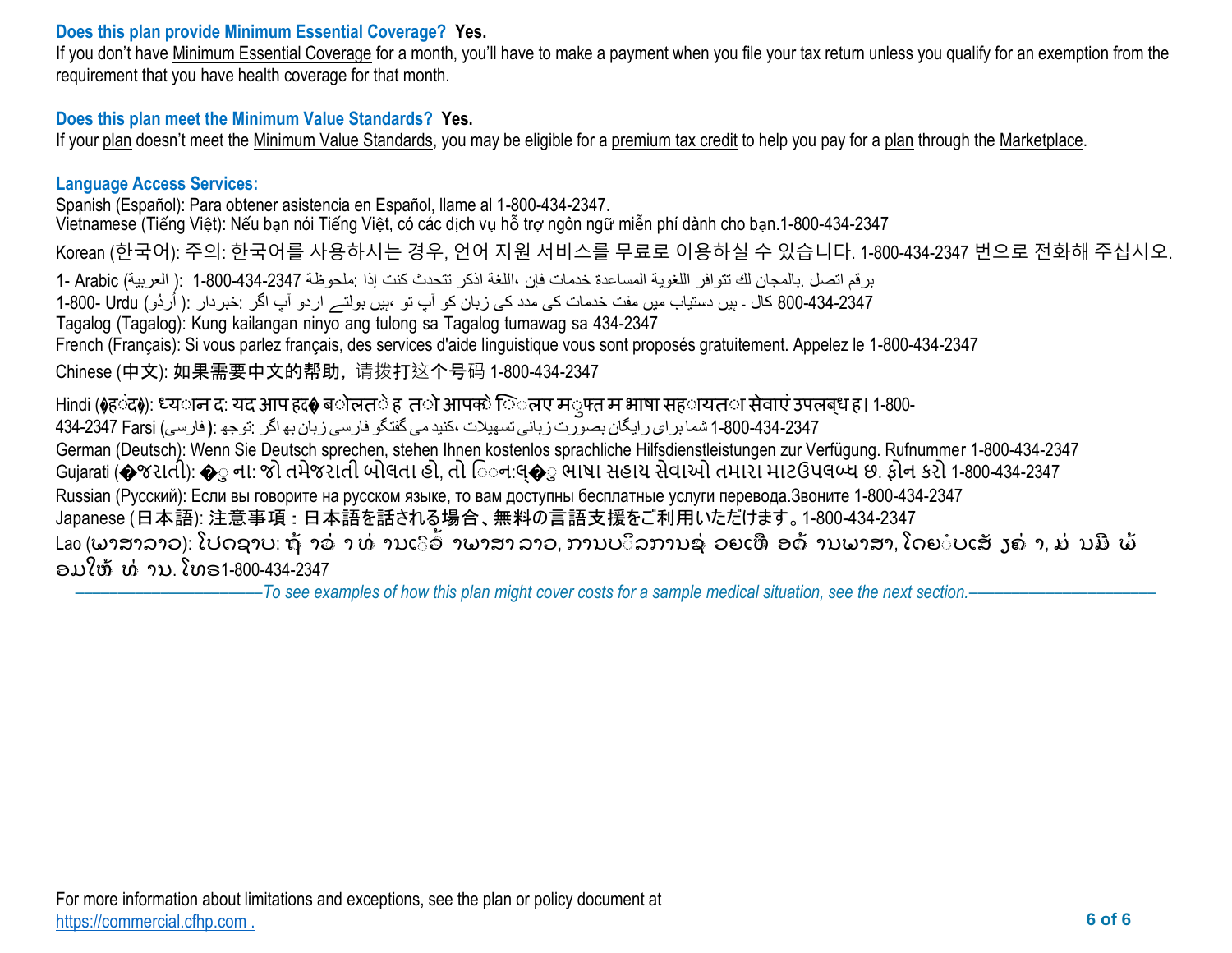## **Does this plan provide Minimum Essential Coverage? Yes.**

If you don't have [Minimum Essential Coverage](https://www.healthcare.gov/sbc-glossary/#minimum-essential-coverage) for a month, you'll have to make a payment when you file your tax return unless you qualify for an exemption from the requirement that you have health coverage for that month.

# **Does this plan meet the Minimum Value Standards? Yes.**

If your [plan](https://www.healthcare.gov/sbc-glossary/#plan) doesn't meet the [Minimum Value Standards, y](https://www.healthcare.gov/sbc-glossary/#minimum-value-standard)ou may be eligible for a [premium tax credit](https://www.healthcare.gov/sbc-glossary/#premium-tax-credits) to help you pay for a [plan](https://www.healthcare.gov/sbc-glossary/#plan) through the [Marketplace.](https://www.healthcare.gov/sbc-glossary/#marketplace)

## **Language Access Services:**

Spanish (Español): Para obtener asistencia en Español, llame al 1-800-434-2347. Vietnamese (Tiếng Việt): Nếu bạn nói Tiếng Việt, có các dịch vụ hỗ trợ ngôn ngữ miễn phí dành cho bạn.1-800-434-2347 Korean (한국어): 주의: 한국어를 사용하시는 경우, 언어 지원 서비스를 무료로 이용하실 수 있습니다. 1-800-434-2347 번으로 전화해 주십시오. برقم اتصل .بالمجان لك تتوافر اللغویة المساعدة خدمات فإن ،اللغة اذكر تتحدث كنت إذا :ملحوظة 1-800-434-2347 :( العربیة) Arabic 1- 800-434-2347 کال ۔ ہیں دستیاب میں مفت خدمات کی مدد کی زبان کو آپ تو ،ہیں بولتے اردو آپ اگر :خبردار :( اُردُو) Urdu-Tagalog (Tagalog): Kung kailangan ninyo ang tulong sa Tagalog tumawag sa 434-2347 French (Français): Si vous parlez français, des services d'aide linguistique vous sont proposés gratuitement. Appelez le 1-800-434-2347 Chinese (中文): 如果需要中文的帮助,请拨打这个号码 1-800-434-2347 Hindi (�ह**ंद♦): ध्य**ान द: यद आप हद� ब**ोलत**े ह त**ो आपको ि**ंलए म**्फ्त म भाषा सह**ायत**ा सेवाएं उपलब्ध ह। 1-800-**1-800-434-2347 شما برای رایگان بصورت زبانی تسھیلات ،کنیدمی گفتگو فارسی زبان بھاگر :توجھ :**(** فارسی) Farsi 434-2347 German (Deutsch): Wenn Sie Deutsch sprechen, stehen Ihnen kostenlos sprachliche Hilfsdienstleistungen zur Verfügung. Rufnummer 1-800-434-2347 Gujarati (�જરાતી): �ુ ના: જો તમેજરાતી બોલતા હો, તો િન:લ્�ુ ભાષા સહાય સેવાઓ તમારા માટઉપલબ્ધ છ. ફોન કરો 1-800-434-2347 Russian (Русский): Если вы говорите на русском языке, то вам доступны бесплатные услуги перевода.Звоните 1-800-434-2347 Japanese (日本語): 注意事項:日本語を話される場合、無料の言語支援をご利用いただけます。1-800-434-2347 Lao (ພາສາລາວ): ໂປດຊາບ: ຖ້ າວ່ າ ທ່ ານເົອົ າພາສາ ລາວ, ການບິລການຊ່ ວຍເຫື ອດ້ ານພາສາ, ໂດຍ ບເສັ ງຄ່ າ, ມ່ ນມີ ພ້ ອມໃຫ ້ ທ ້ ານ. ໂທຣ1-800-434-2347

––––––––––––––––––––––*To see examples of how this plan might cover costs for a sample medical situation, see the next section.–––––––––––*–––––––––––